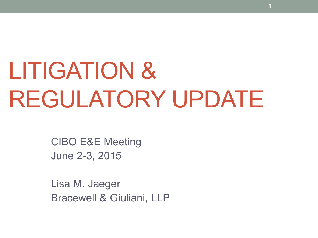# LITIGATION & REGULATORY UPDATE

**1**

CIBO E&E Meeting June 2-3, 2015

Lisa M. Jaeger Bracewell & Giuliani, LLP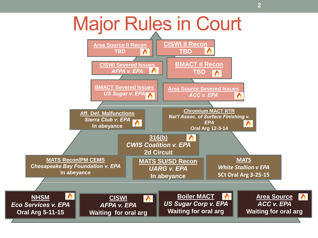### Major Rules in Court

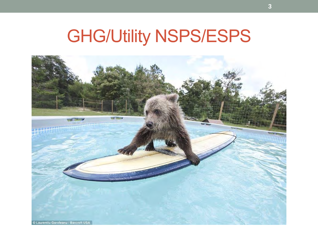## GHG/Utility NSPS/ESPS

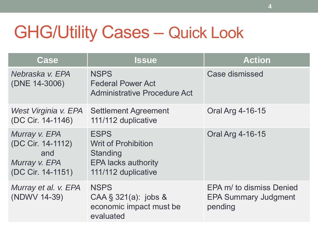## GHG/Utility Cases – Quick Look

| <b>Case</b>                                                                     | <b>Issue</b>                                                                                               | <b>Action</b>                                                      |
|---------------------------------------------------------------------------------|------------------------------------------------------------------------------------------------------------|--------------------------------------------------------------------|
| Nebraska v. EPA<br>(DNE 14-3006)                                                | <b>NSPS</b><br><b>Federal Power Act</b><br><b>Administrative Procedure Act</b>                             | Case dismissed                                                     |
| West Virginia v. EPA<br>(DC Cir. 14-1146)                                       | <b>Settlement Agreement</b><br>111/112 duplicative                                                         | Oral Arg 4-16-15                                                   |
| Murray v. EPA<br>(DC Cir. 14-1112)<br>and<br>Murray v. EPA<br>(DC Cir. 14-1151) | <b>ESPS</b><br><b>Writ of Prohibition</b><br>Standing<br><b>EPA lacks authority</b><br>111/112 duplicative | Oral Arg 4-16-15                                                   |
| Murray et al. v. EPA<br>(NDWV 14-39)                                            | <b>NSPS</b><br>CAA § 321(a): jobs &<br>economic impact must be<br>evaluated                                | EPA m/ to dismiss Denied<br><b>EPA Summary Judgment</b><br>pending |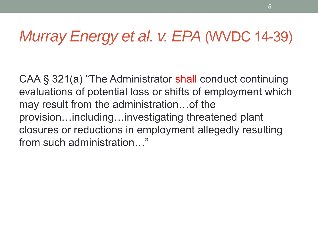### *Murray Energy et al. v. EPA* (WVDC 14-39)

CAA § 321(a) "The Administrator shall conduct continuing evaluations of potential loss or shifts of employment which may result from the administration…of the provision…including…investigating threatened plant closures or reductions in employment allegedly resulting from such administration…"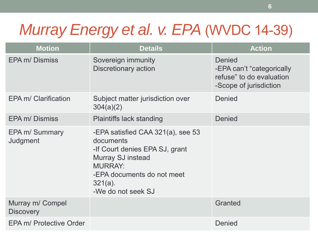### *Murray Energy et al. v. EPA* (WVDC 14-39)

| <b>Motion</b>                        | <b>Details</b>                                                                                                                                                                                   | <b>Action</b>                                                                                    |
|--------------------------------------|--------------------------------------------------------------------------------------------------------------------------------------------------------------------------------------------------|--------------------------------------------------------------------------------------------------|
| <b>EPA m/ Dismiss</b>                | Sovereign immunity<br>Discretionary action                                                                                                                                                       | <b>Denied</b><br>-EPA can't "categorically<br>refuse" to do evaluation<br>-Scope of jurisdiction |
| EPA m/ Clarification                 | Subject matter jurisdiction over<br>304(a)(2)                                                                                                                                                    | Denied                                                                                           |
| <b>EPA m/ Dismiss</b>                | <b>Plaintiffs lack standing</b>                                                                                                                                                                  | <b>Denied</b>                                                                                    |
| EPA m/ Summary<br>Judgment           | -EPA satisfied CAA 321(a), see 53<br>documents<br>-If Court denies EPA SJ, grant<br><b>Murray SJ instead</b><br><b>MURRAY:</b><br>-EPA documents do not meet<br>$321(a)$ .<br>-We do not seek SJ |                                                                                                  |
| Murray m/ Compel<br><b>Discovery</b> |                                                                                                                                                                                                  | <b>Granted</b>                                                                                   |
| EPA m/ Protective Order              |                                                                                                                                                                                                  | <b>Denied</b>                                                                                    |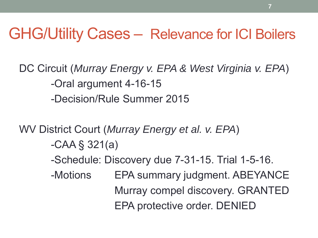### GHG/Utility Cases – Relevance for ICI Boilers

DC Circuit (*Murray Energy v. EPA & West Virginia v. EPA*) -Oral argument 4-16-15 -Decision/Rule Summer 2015

WV District Court (*Murray Energy et al. v. EPA*)

- -CAA § 321(a)
- -Schedule: Discovery due 7-31-15. Trial 1-5-16.
- -Motions EPA summary judgment. ABEYANCE Murray compel discovery. GRANTED EPA protective order. DENIED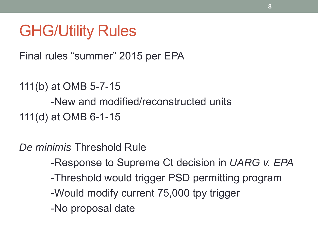### GHG/Utility Rules

Final rules "summer" 2015 per EPA

```
111(b) at OMB 5-7-15
      -New and modified/reconstructed units
111(d) at OMB 6-1-15
```
*De minimis* Threshold Rule

- -Response to Supreme Ct decision in *UARG v. EPA*
- -Threshold would trigger PSD permitting program
- -Would modify current 75,000 tpy trigger
- -No proposal date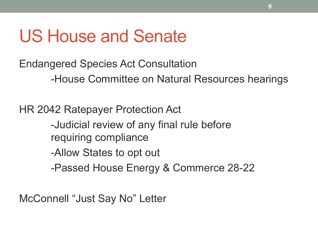### US House and Senate

Endangered Species Act Consultation -House Committee on Natural Resources hearings

HR 2042 Ratepayer Protection Act -Judicial review of any final rule before requiring compliance -Allow States to opt out -Passed House Energy & Commerce 28-22

McConnell "Just Say No" Letter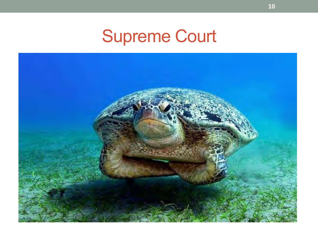### Supreme Court

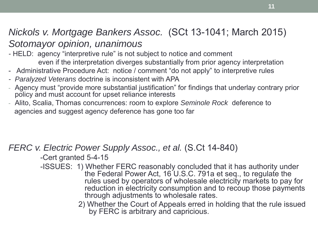#### *Nickols v. Mortgage Bankers Assoc.* (SCt 13-1041; March 2015) *Sotomayor opinion, unanimous*

- *-* HELD: agency "interpretive rule" is not subject to notice and comment even if the interpretation diverges substantially from prior agency interpretation
- Administrative Procedure Act: notice / comment "do not apply" to interpretive rules
- *- Paralyzed Veterans* doctrine is inconsistent with APA
- Agency must "provide more substantial justification" for findings that underlay contrary prior policy and must account for upset reliance interests
- Alito, Scalia, Thomas concurrences: room to explore *Seminole Rock* deference to agencies and suggest agency deference has gone too far

#### *FERC v. Electric Power Supply Assoc., et al.* (S.Ct 14-840)

-Cert granted 5-4-15

- -ISSUES: 1) Whether FERC reasonably concluded that it has authority under the Federal Power Act, 16 U.S.C. 791a et seq., to regulate the rules used by operators of wholesale electricity markets to pay for reduction in electricity consumption and to recoup those payments through adjustments to wholesale rates.
	- 2) Whether the Court of Appeals erred in holding that the rule issued by FERC is arbitrary and capricious.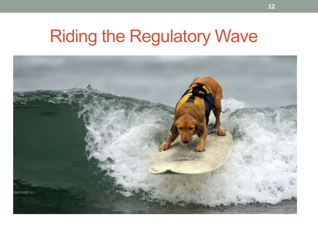## Riding the Regulatory Wave

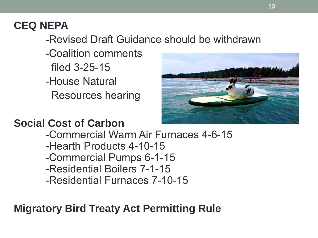### **CEQ NEPA**

-Revised Draft Guidance should be withdrawn

-Coalition comments filed 3-25-15 -House Natural Resources hearing



### **Social Cost of Carbon**

-Commercial Warm Air Furnaces 4-6-15 -Hearth Products 4-10-15 -Commercial Pumps 6-1-15 -Residential Boilers 7-1-15 -Residential Furnaces 7-10-15

### **Migratory Bird Treaty Act Permitting Rule**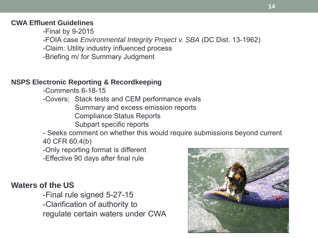#### **CWA Effluent Guidelines**

-Final by 9-2015

-FOIA case *Environmental Integrity Project v. SBA* (DC Dist. 13-1962)

-Claim: Utility industry influenced process

-Briefing m/ for Summary Judgment

#### **NSPS Electronic Reporting & Recordkeeping**

-Comments 6-18-15

-Covers: Stack tests and CEM performance evals Summary and excess emission reports Compliance Status Reports Subpart specific reports

- Seeks comment on whether this would require submissions beyond current

40 CFR 60.4(b)

-Only reporting format is different

-Effective 90 days after final rule

#### **Waters of the US**

-Final rule signed 5-27-15 -Clarification of authority to regulate certain waters under CWA

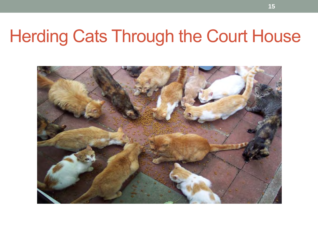### Herding Cats Through the Court House

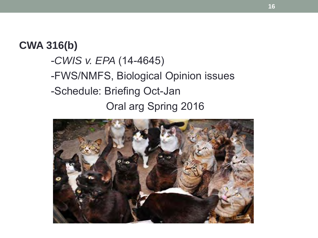#### **CWA 316(b)**

- -*CWIS v. EPA* (14-4645)
- -FWS/NMFS, Biological Opinion issues
- -Schedule: Briefing Oct-Jan

Oral arg Spring 2016

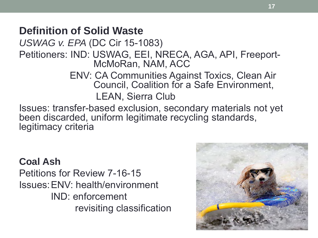### **Definition of Solid Waste**

*USWAG v. EPA* (DC Cir 15-1083)

Petitioners: IND: USWAG, EEI, NRECA, AGA, API, Freeport-McMoRan, NAM, ACC

> ENV: CA Communities Against Toxics, Clean Air Council, Coalition for a Safe Environment, LEAN, Sierra Club

Issues: transfer-based exclusion, secondary materials not yet been discarded, uniform legitimate recycling standards, legitimacy criteria

#### **Coal Ash**

Petitions for Review 7-16-15 Issues:ENV: health/environment IND: enforcement revisiting classification

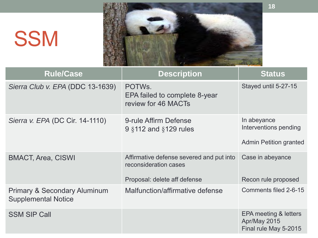# **SSM**



| <b>Rule/Case</b>                                                      | <b>Description</b>                                                                                | <b>Status</b>                                                         |
|-----------------------------------------------------------------------|---------------------------------------------------------------------------------------------------|-----------------------------------------------------------------------|
| Sierra Club v. EPA (DDC 13-1639)                                      | POTWS.<br>EPA failed to complete 8-year<br>review for 46 MACTs                                    | Stayed until 5-27-15                                                  |
| Sierra v. EPA (DC Cir. 14-1110)                                       | 9-rule Affirm Defense<br>9 §112 and §129 rules                                                    | In abeyance<br>Interventions pending<br><b>Admin Petition granted</b> |
| <b>BMACT, Area, CISWI</b>                                             | Affirmative defense severed and put into<br>reconsideration cases<br>Proposal: delete aff defense | Case in abeyance<br>Recon rule proposed                               |
| <b>Primary &amp; Secondary Aluminum</b><br><b>Supplemental Notice</b> | Malfunction/affirmative defense                                                                   | Comments filed 2-6-15                                                 |
| <b>SSM SIP Call</b>                                                   |                                                                                                   | EPA meeting & letters<br>Apr/May 2015<br>Final rule May 5-2015        |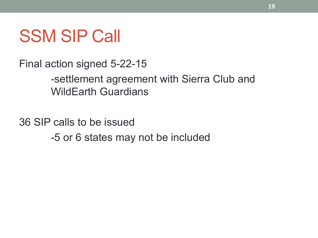### SSM SIP Call

Final action signed 5-22-15

-settlement agreement with Sierra Club and WildEarth Guardians

36 SIP calls to be issued -5 or 6 states may not be included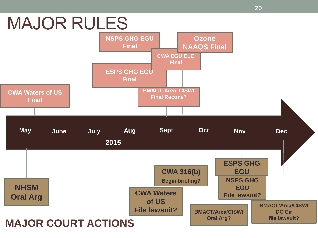## MAJOR RULES